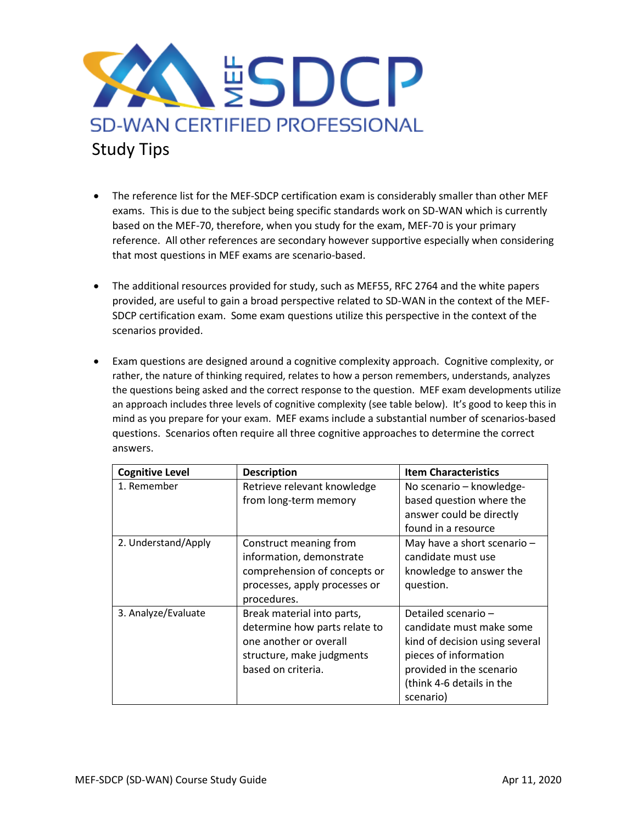

- The reference list for the MEF-SDCP certification exam is considerably smaller than other MEF exams. This is due to the subject being specific standards work on SD-WAN which is currently based on the MEF-70, therefore, when you study for the exam, MEF-70 is your primary reference. All other references are secondary however supportive especially when considering that most questions in MEF exams are scenario-based.
- The additional resources provided for study, such as MEF55, RFC 2764 and the white papers provided, are useful to gain a broad perspective related to SD-WAN in the context of the MEF-SDCP certification exam. Some exam questions utilize this perspective in the context of the scenarios provided.
- Exam questions are designed around a cognitive complexity approach. Cognitive complexity, or rather, the nature of thinking required, relates to how a person remembers, understands, analyzes the questions being asked and the correct response to the question. MEF exam developments utilize an approach includes three levels of cognitive complexity (see table below). It's good to keep this in mind as you prepare for your exam. MEF exams include a substantial number of scenarios-based questions. Scenarios often require all three cognitive approaches to determine the correct answers.

| <b>Cognitive Level</b> | <b>Description</b>                                                                                                                       | <b>Item Characteristics</b>                                                                                                                                                     |
|------------------------|------------------------------------------------------------------------------------------------------------------------------------------|---------------------------------------------------------------------------------------------------------------------------------------------------------------------------------|
| 1. Remember            | Retrieve relevant knowledge<br>from long-term memory                                                                                     | No scenario - knowledge-<br>based question where the<br>answer could be directly<br>found in a resource                                                                         |
| 2. Understand/Apply    | Construct meaning from<br>information, demonstrate<br>comprehension of concepts or<br>processes, apply processes or<br>procedures.       | May have a short scenario -<br>candidate must use<br>knowledge to answer the<br>question.                                                                                       |
| 3. Analyze/Evaluate    | Break material into parts,<br>determine how parts relate to<br>one another or overall<br>structure, make judgments<br>based on criteria. | Detailed scenario-<br>candidate must make some<br>kind of decision using several<br>pieces of information<br>provided in the scenario<br>(think 4-6 details in the<br>scenario) |